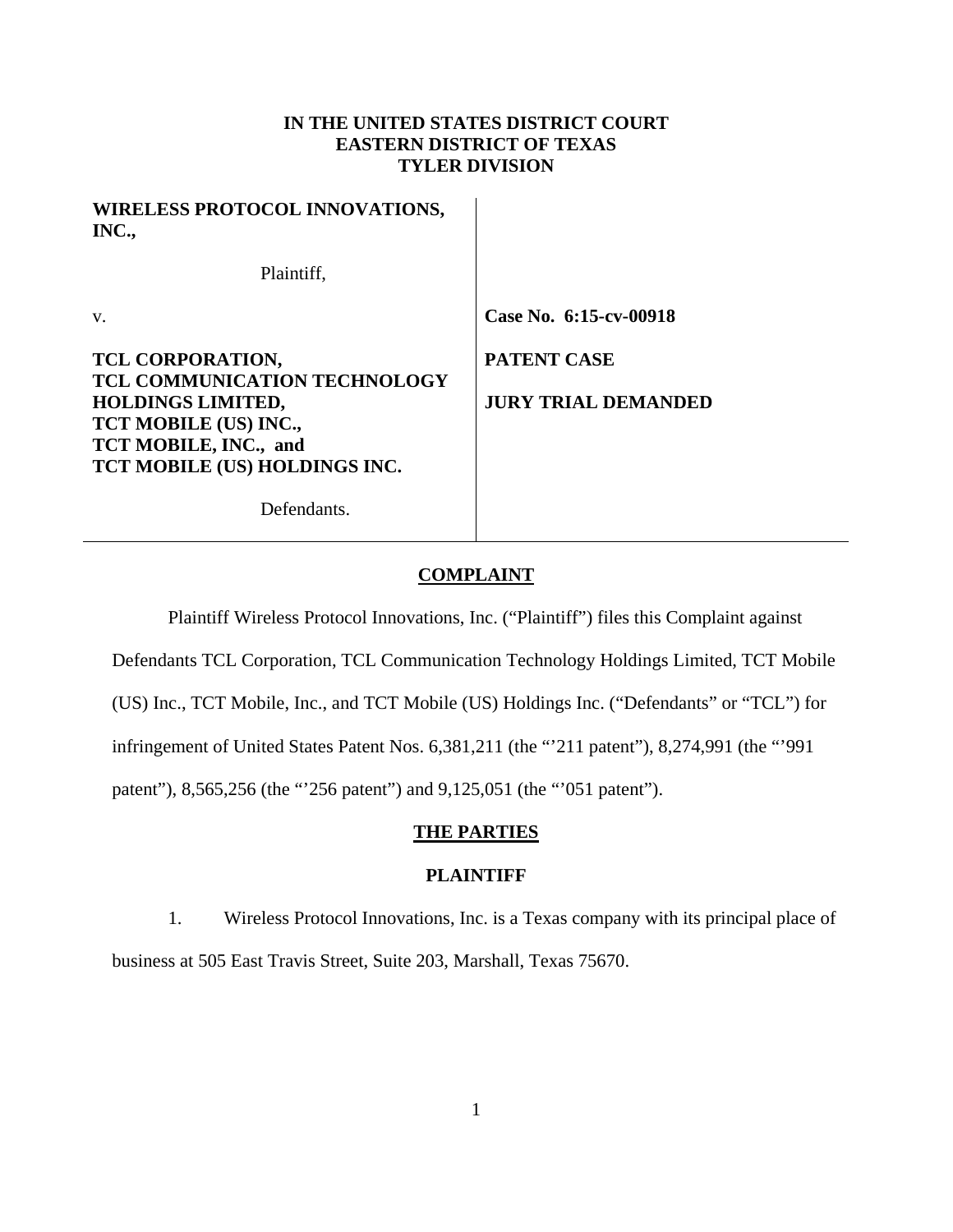# **IN THE UNITED STATES DISTRICT COURT EASTERN DISTRICT OF TEXAS TYLER DIVISION**

| <b>WIRELESS PROTOCOL INNOVATIONS,</b><br>INC.,                                                                                                                         |                                                  |
|------------------------------------------------------------------------------------------------------------------------------------------------------------------------|--------------------------------------------------|
| Plaintiff,                                                                                                                                                             |                                                  |
| V.                                                                                                                                                                     | Case No. 6:15-cv-00918                           |
| TCL CORPORATION,<br><b>TCL COMMUNICATION TECHNOLOGY</b><br><b>HOLDINGS LIMITED,</b><br>TCT MOBILE (US) INC.,<br>TCT MOBILE, INC., and<br>TCT MOBILE (US) HOLDINGS INC. | <b>PATENT CASE</b><br><b>JURY TRIAL DEMANDED</b> |
| Defendants.                                                                                                                                                            |                                                  |

### **COMPLAINT**

Plaintiff Wireless Protocol Innovations, Inc. ("Plaintiff") files this Complaint against

Defendants TCL Corporation, TCL Communication Technology Holdings Limited, TCT Mobile

(US) Inc., TCT Mobile, Inc., and TCT Mobile (US) Holdings Inc. ("Defendants" or "TCL") for

infringement of United States Patent Nos. 6,381,211 (the "'211 patent"), 8,274,991 (the "'991

patent"), 8,565,256 (the "'256 patent") and 9,125,051 (the "'051 patent").

# **THE PARTIES**

# **PLAINTIFF**

1. Wireless Protocol Innovations, Inc. is a Texas company with its principal place of business at 505 East Travis Street, Suite 203, Marshall, Texas 75670.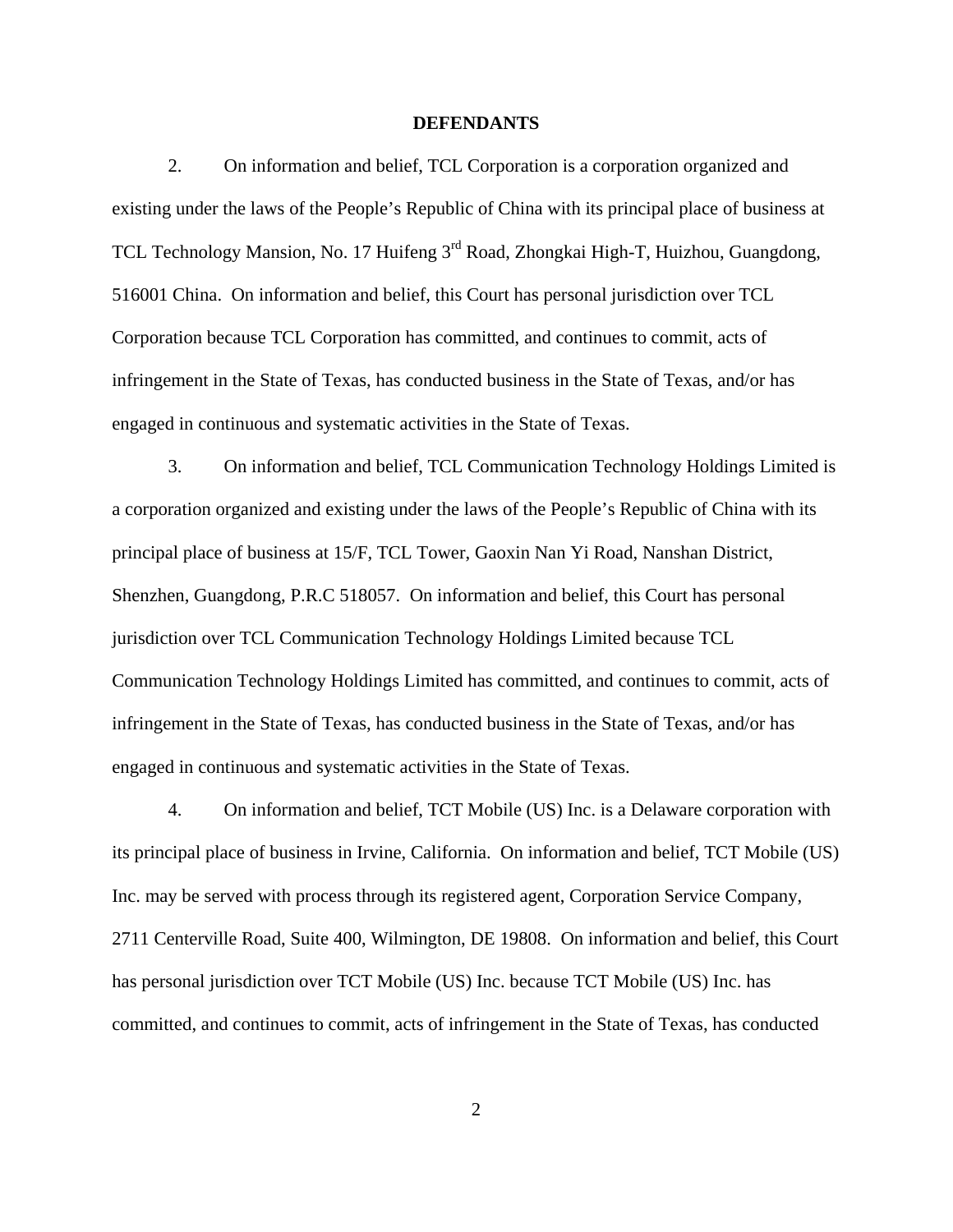### **DEFENDANTS**

2. On information and belief, TCL Corporation is a corporation organized and existing under the laws of the People's Republic of China with its principal place of business at TCL Technology Mansion, No. 17 Huifeng 3rd Road, Zhongkai High-T, Huizhou, Guangdong, 516001 China. On information and belief, this Court has personal jurisdiction over TCL Corporation because TCL Corporation has committed, and continues to commit, acts of infringement in the State of Texas, has conducted business in the State of Texas, and/or has engaged in continuous and systematic activities in the State of Texas.

3. On information and belief, TCL Communication Technology Holdings Limited is a corporation organized and existing under the laws of the People's Republic of China with its principal place of business at 15/F, TCL Tower, Gaoxin Nan Yi Road, Nanshan District, Shenzhen, Guangdong, P.R.C 518057. On information and belief, this Court has personal jurisdiction over TCL Communication Technology Holdings Limited because TCL Communication Technology Holdings Limited has committed, and continues to commit, acts of infringement in the State of Texas, has conducted business in the State of Texas, and/or has engaged in continuous and systematic activities in the State of Texas.

4. On information and belief, TCT Mobile (US) Inc. is a Delaware corporation with its principal place of business in Irvine, California. On information and belief, TCT Mobile (US) Inc. may be served with process through its registered agent, Corporation Service Company, 2711 Centerville Road, Suite 400, Wilmington, DE 19808. On information and belief, this Court has personal jurisdiction over TCT Mobile (US) Inc. because TCT Mobile (US) Inc. has committed, and continues to commit, acts of infringement in the State of Texas, has conducted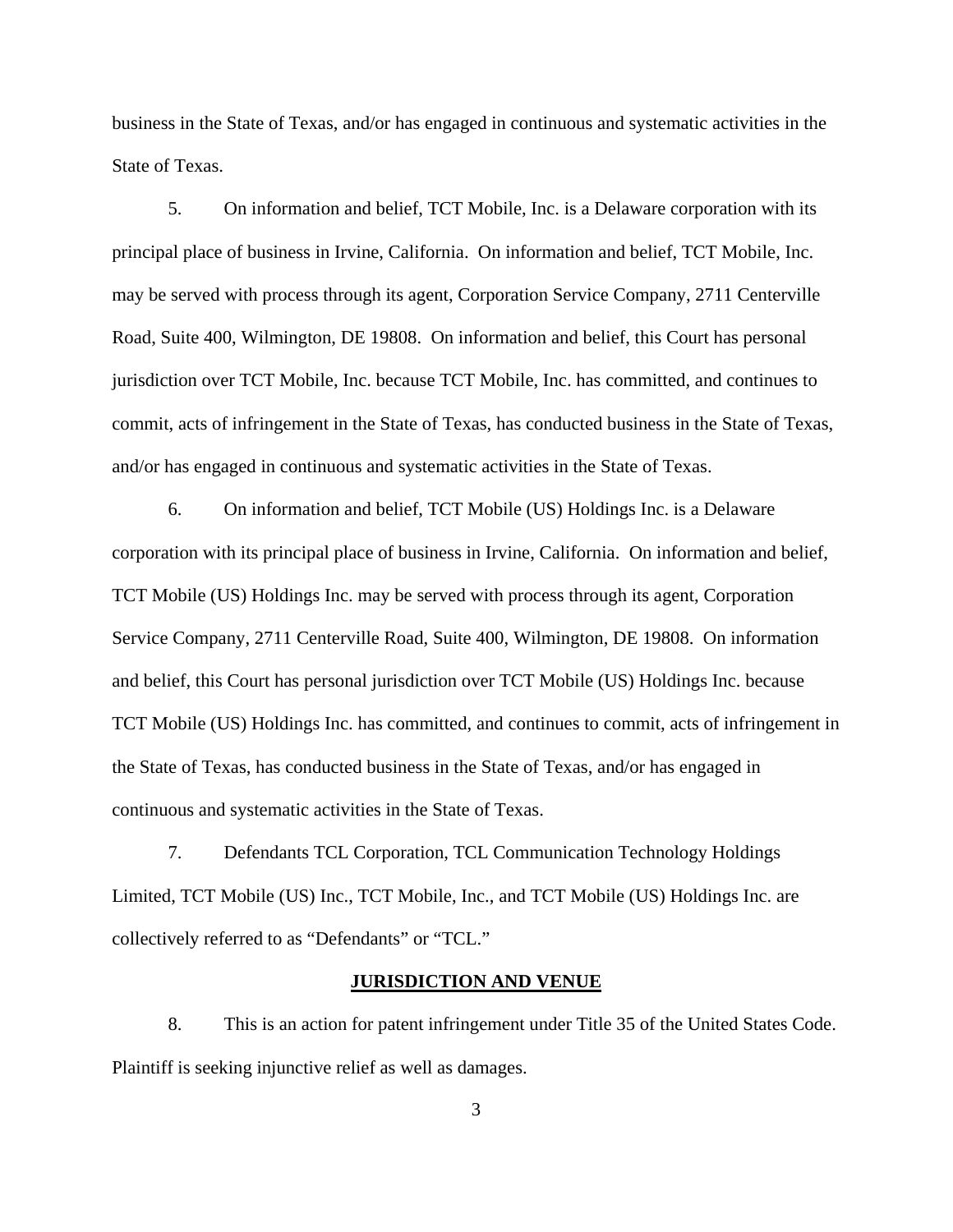business in the State of Texas, and/or has engaged in continuous and systematic activities in the State of Texas.

5. On information and belief, TCT Mobile, Inc. is a Delaware corporation with its principal place of business in Irvine, California. On information and belief, TCT Mobile, Inc. may be served with process through its agent, Corporation Service Company, 2711 Centerville Road, Suite 400, Wilmington, DE 19808. On information and belief, this Court has personal jurisdiction over TCT Mobile, Inc. because TCT Mobile, Inc. has committed, and continues to commit, acts of infringement in the State of Texas, has conducted business in the State of Texas, and/or has engaged in continuous and systematic activities in the State of Texas.

6. On information and belief, TCT Mobile (US) Holdings Inc. is a Delaware corporation with its principal place of business in Irvine, California. On information and belief, TCT Mobile (US) Holdings Inc. may be served with process through its agent, Corporation Service Company, 2711 Centerville Road, Suite 400, Wilmington, DE 19808. On information and belief, this Court has personal jurisdiction over TCT Mobile (US) Holdings Inc. because TCT Mobile (US) Holdings Inc. has committed, and continues to commit, acts of infringement in the State of Texas, has conducted business in the State of Texas, and/or has engaged in continuous and systematic activities in the State of Texas.

7. Defendants TCL Corporation, TCL Communication Technology Holdings Limited, TCT Mobile (US) Inc., TCT Mobile, Inc., and TCT Mobile (US) Holdings Inc. are collectively referred to as "Defendants" or "TCL."

### **JURISDICTION AND VENUE**

8. This is an action for patent infringement under Title 35 of the United States Code. Plaintiff is seeking injunctive relief as well as damages.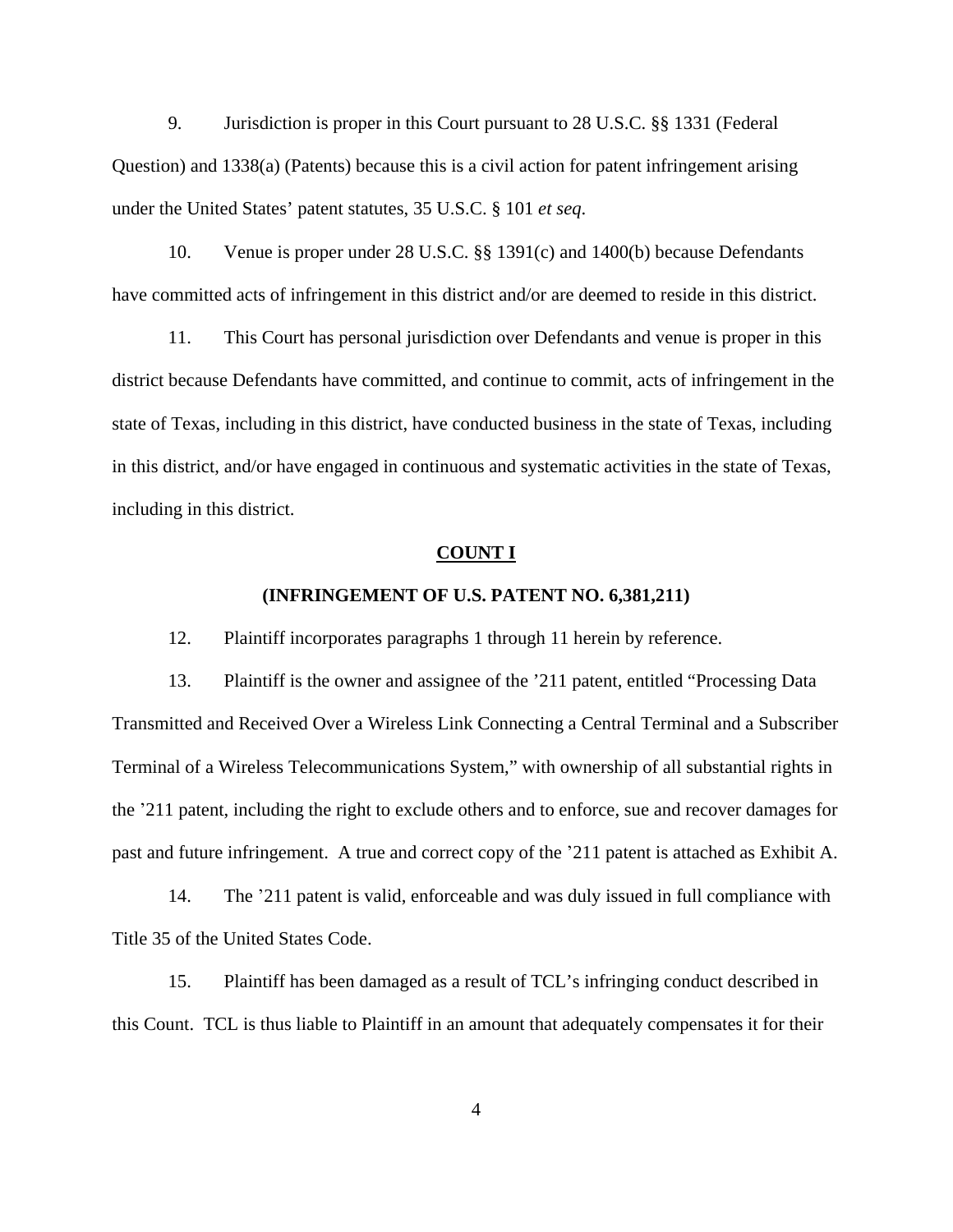9. Jurisdiction is proper in this Court pursuant to 28 U.S.C. §§ 1331 (Federal Question) and 1338(a) (Patents) because this is a civil action for patent infringement arising under the United States' patent statutes, 35 U.S.C. § 101 *et seq*.

10. Venue is proper under 28 U.S.C. §§ 1391(c) and 1400(b) because Defendants have committed acts of infringement in this district and/or are deemed to reside in this district.

11. This Court has personal jurisdiction over Defendants and venue is proper in this district because Defendants have committed, and continue to commit, acts of infringement in the state of Texas, including in this district, have conducted business in the state of Texas, including in this district, and/or have engaged in continuous and systematic activities in the state of Texas, including in this district.

#### **COUNT I**

### **(INFRINGEMENT OF U.S. PATENT NO. 6,381,211)**

12. Plaintiff incorporates paragraphs 1 through 11 herein by reference.

13. Plaintiff is the owner and assignee of the '211 patent, entitled "Processing Data Transmitted and Received Over a Wireless Link Connecting a Central Terminal and a Subscriber Terminal of a Wireless Telecommunications System," with ownership of all substantial rights in the '211 patent, including the right to exclude others and to enforce, sue and recover damages for past and future infringement. A true and correct copy of the '211 patent is attached as Exhibit A.

14. The '211 patent is valid, enforceable and was duly issued in full compliance with Title 35 of the United States Code.

15. Plaintiff has been damaged as a result of TCL's infringing conduct described in this Count. TCL is thus liable to Plaintiff in an amount that adequately compensates it for their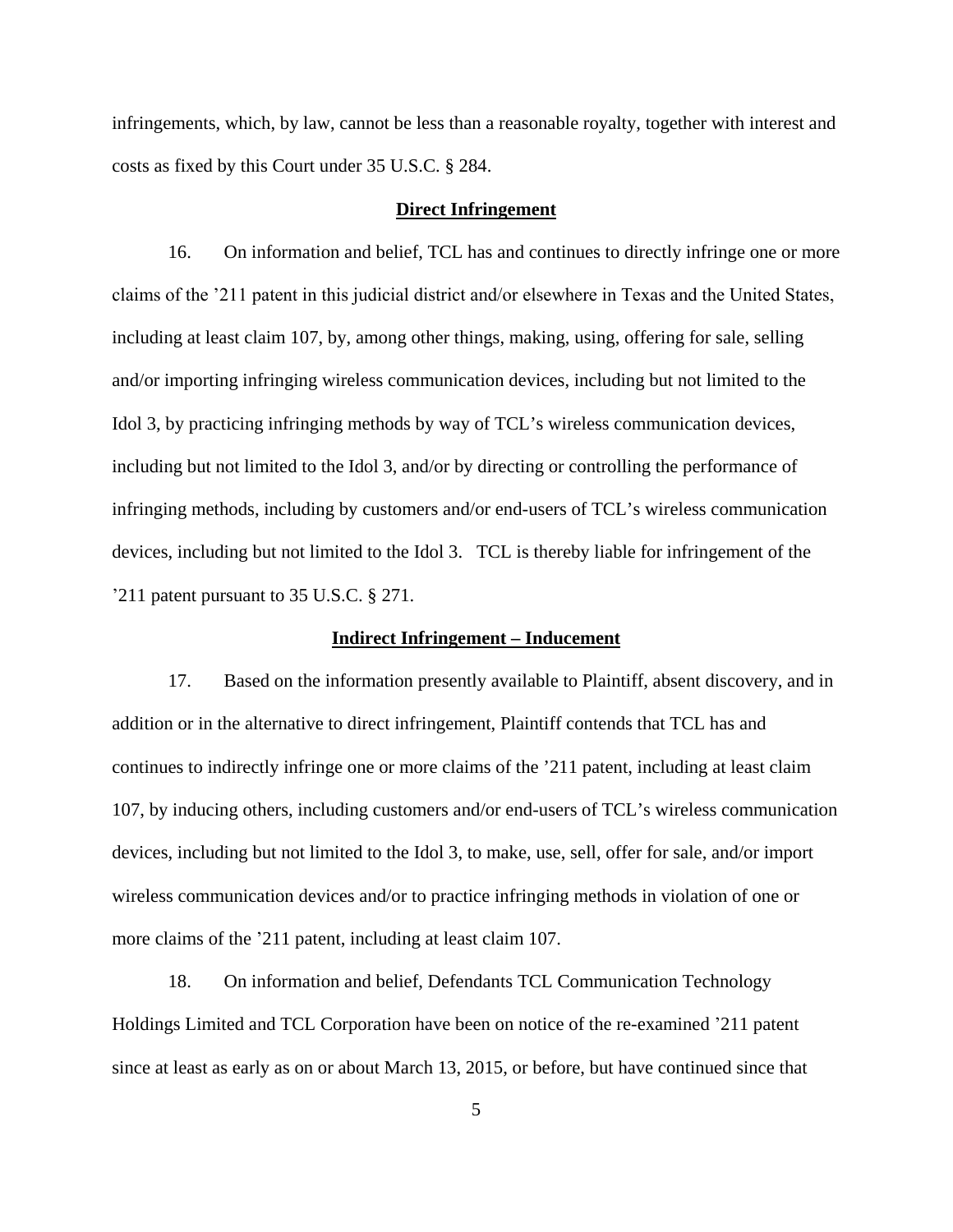infringements, which, by law, cannot be less than a reasonable royalty, together with interest and costs as fixed by this Court under 35 U.S.C. § 284.

# **Direct Infringement**

16. On information and belief, TCL has and continues to directly infringe one or more claims of the '211 patent in this judicial district and/or elsewhere in Texas and the United States, including at least claim 107, by, among other things, making, using, offering for sale, selling and/or importing infringing wireless communication devices, including but not limited to the Idol 3, by practicing infringing methods by way of TCL's wireless communication devices, including but not limited to the Idol 3, and/or by directing or controlling the performance of infringing methods, including by customers and/or end-users of TCL's wireless communication devices, including but not limited to the Idol 3. TCL is thereby liable for infringement of the '211 patent pursuant to 35 U.S.C. § 271.

### **Indirect Infringement – Inducement**

17. Based on the information presently available to Plaintiff, absent discovery, and in addition or in the alternative to direct infringement, Plaintiff contends that TCL has and continues to indirectly infringe one or more claims of the '211 patent, including at least claim 107, by inducing others, including customers and/or end-users of TCL's wireless communication devices, including but not limited to the Idol 3, to make, use, sell, offer for sale, and/or import wireless communication devices and/or to practice infringing methods in violation of one or more claims of the '211 patent, including at least claim 107.

18. On information and belief, Defendants TCL Communication Technology Holdings Limited and TCL Corporation have been on notice of the re-examined '211 patent since at least as early as on or about March 13, 2015, or before, but have continued since that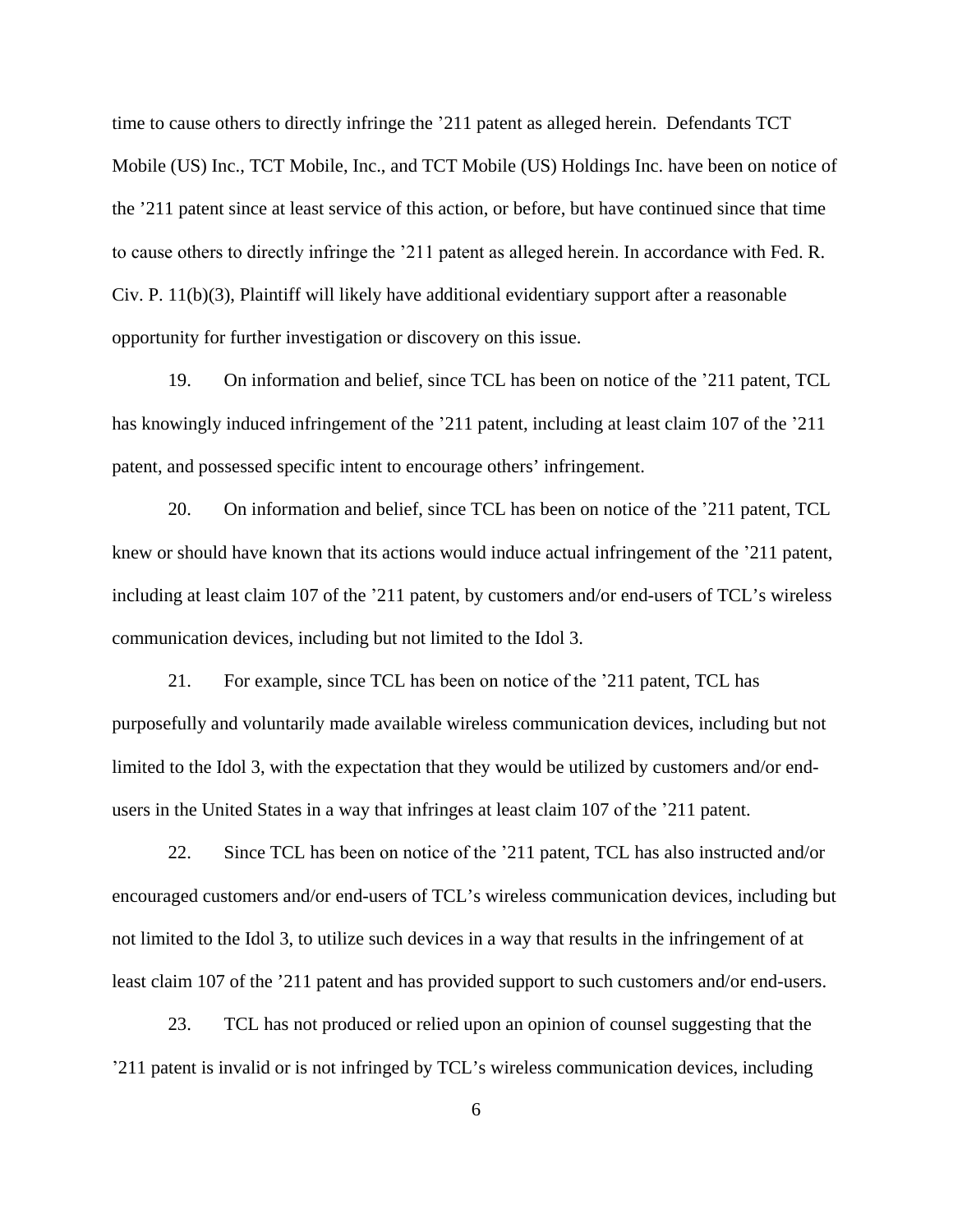time to cause others to directly infringe the '211 patent as alleged herein. Defendants TCT Mobile (US) Inc., TCT Mobile, Inc., and TCT Mobile (US) Holdings Inc. have been on notice of the '211 patent since at least service of this action, or before, but have continued since that time to cause others to directly infringe the '211 patent as alleged herein. In accordance with Fed. R. Civ. P. 11(b)(3), Plaintiff will likely have additional evidentiary support after a reasonable opportunity for further investigation or discovery on this issue.

19. On information and belief, since TCL has been on notice of the '211 patent, TCL has knowingly induced infringement of the '211 patent, including at least claim 107 of the '211 patent, and possessed specific intent to encourage others' infringement.

20. On information and belief, since TCL has been on notice of the '211 patent, TCL knew or should have known that its actions would induce actual infringement of the '211 patent, including at least claim 107 of the '211 patent, by customers and/or end-users of TCL's wireless communication devices, including but not limited to the Idol 3.

21. For example, since TCL has been on notice of the '211 patent, TCL has purposefully and voluntarily made available wireless communication devices, including but not limited to the Idol 3, with the expectation that they would be utilized by customers and/or endusers in the United States in a way that infringes at least claim 107 of the '211 patent.

22. Since TCL has been on notice of the '211 patent, TCL has also instructed and/or encouraged customers and/or end-users of TCL's wireless communication devices, including but not limited to the Idol 3, to utilize such devices in a way that results in the infringement of at least claim 107 of the '211 patent and has provided support to such customers and/or end-users.

23. TCL has not produced or relied upon an opinion of counsel suggesting that the '211 patent is invalid or is not infringed by TCL's wireless communication devices, including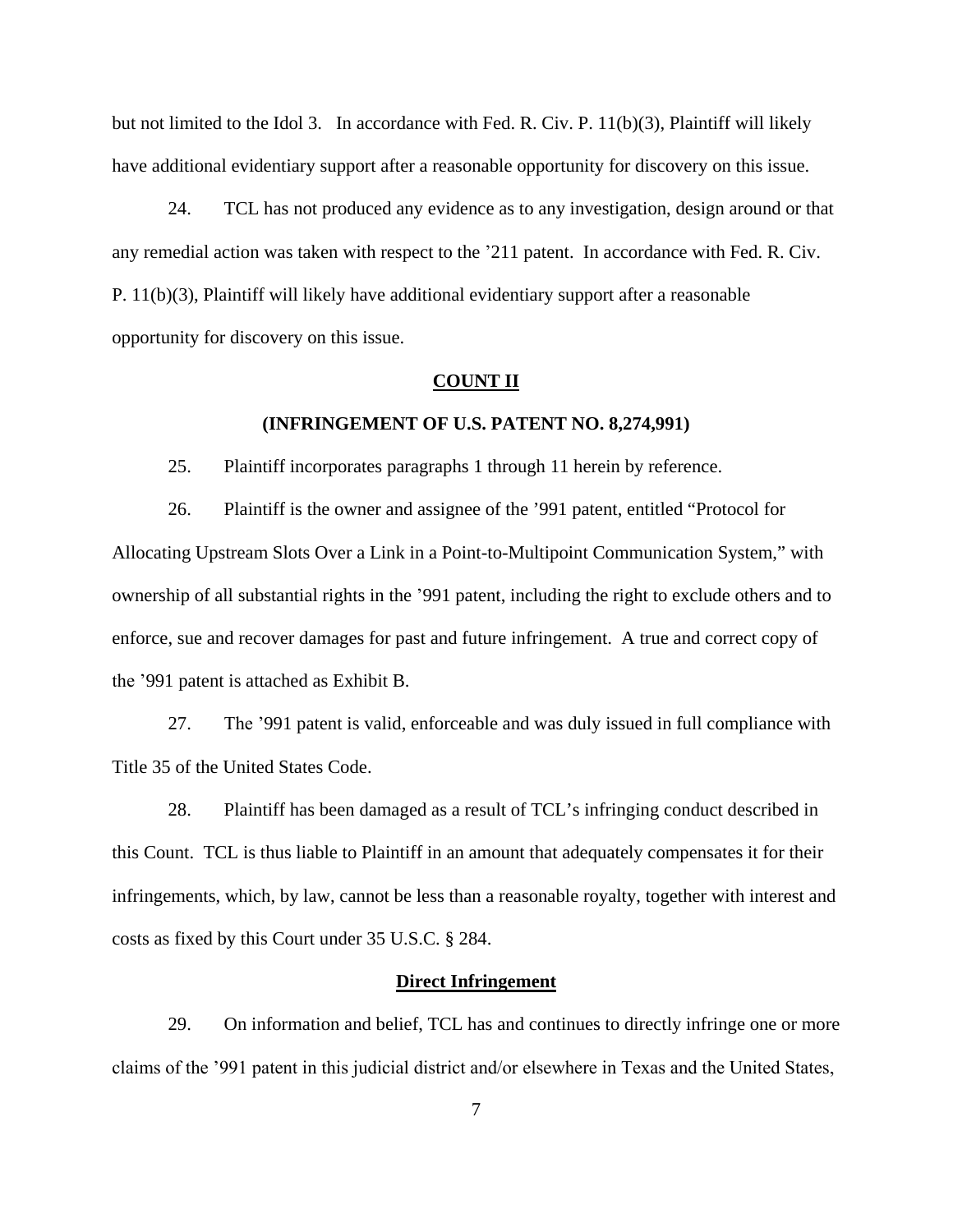but not limited to the Idol 3. In accordance with Fed. R. Civ. P. 11(b)(3), Plaintiff will likely have additional evidentiary support after a reasonable opportunity for discovery on this issue.

24. TCL has not produced any evidence as to any investigation, design around or that any remedial action was taken with respect to the '211 patent. In accordance with Fed. R. Civ. P. 11(b)(3), Plaintiff will likely have additional evidentiary support after a reasonable opportunity for discovery on this issue.

#### **COUNT II**

#### **(INFRINGEMENT OF U.S. PATENT NO. 8,274,991)**

25. Plaintiff incorporates paragraphs 1 through 11 herein by reference.

26. Plaintiff is the owner and assignee of the '991 patent, entitled "Protocol for Allocating Upstream Slots Over a Link in a Point-to-Multipoint Communication System," with ownership of all substantial rights in the '991 patent, including the right to exclude others and to enforce, sue and recover damages for past and future infringement. A true and correct copy of the '991 patent is attached as Exhibit B.

27. The '991 patent is valid, enforceable and was duly issued in full compliance with Title 35 of the United States Code.

28. Plaintiff has been damaged as a result of TCL's infringing conduct described in this Count. TCL is thus liable to Plaintiff in an amount that adequately compensates it for their infringements, which, by law, cannot be less than a reasonable royalty, together with interest and costs as fixed by this Court under 35 U.S.C. § 284.

### **Direct Infringement**

29. On information and belief, TCL has and continues to directly infringe one or more claims of the '991 patent in this judicial district and/or elsewhere in Texas and the United States,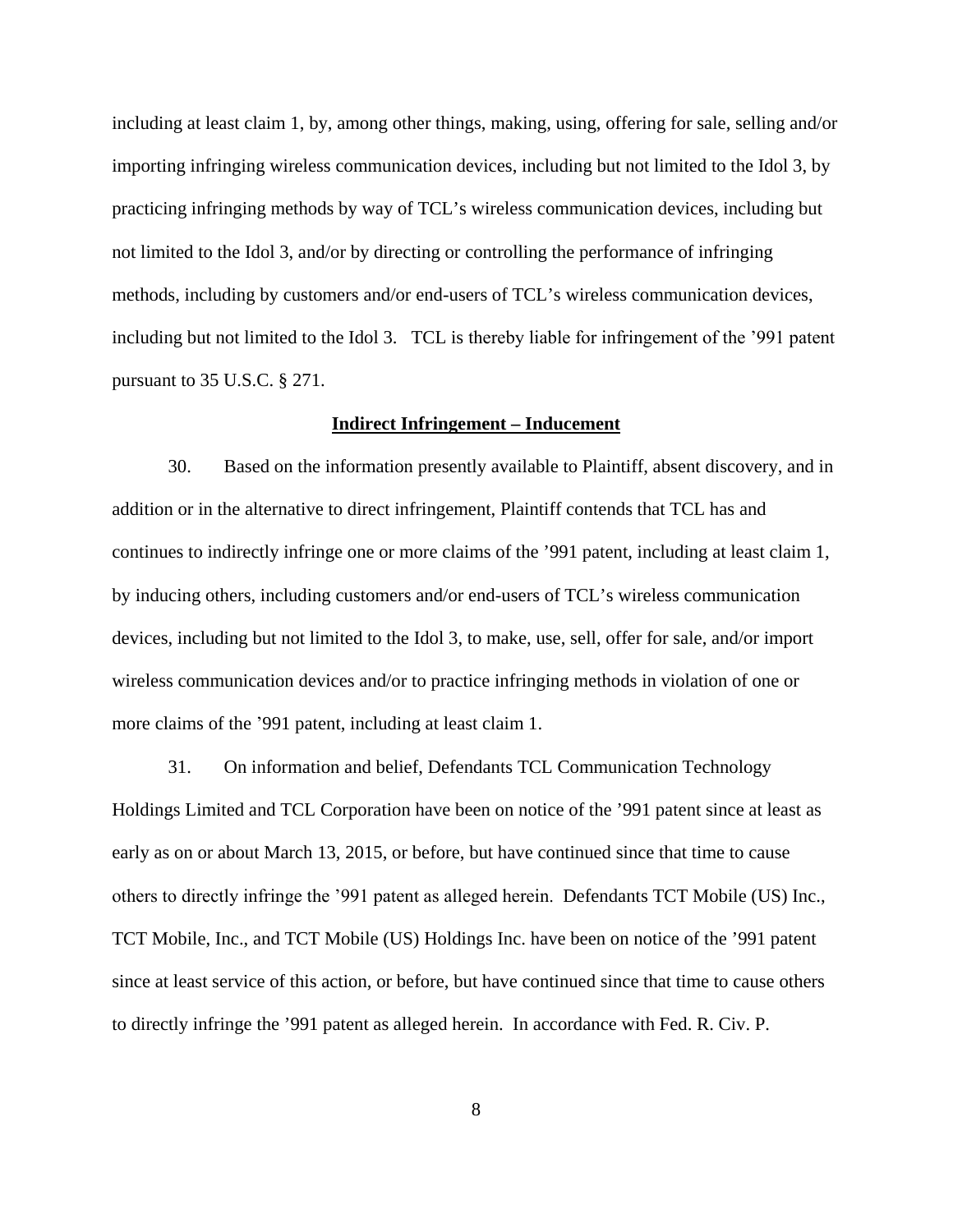including at least claim 1, by, among other things, making, using, offering for sale, selling and/or importing infringing wireless communication devices, including but not limited to the Idol 3, by practicing infringing methods by way of TCL's wireless communication devices, including but not limited to the Idol 3, and/or by directing or controlling the performance of infringing methods, including by customers and/or end-users of TCL's wireless communication devices, including but not limited to the Idol 3. TCL is thereby liable for infringement of the '991 patent pursuant to 35 U.S.C. § 271.

### **Indirect Infringement – Inducement**

30. Based on the information presently available to Plaintiff, absent discovery, and in addition or in the alternative to direct infringement, Plaintiff contends that TCL has and continues to indirectly infringe one or more claims of the '991 patent, including at least claim 1, by inducing others, including customers and/or end-users of TCL's wireless communication devices, including but not limited to the Idol 3, to make, use, sell, offer for sale, and/or import wireless communication devices and/or to practice infringing methods in violation of one or more claims of the '991 patent, including at least claim 1.

31. On information and belief, Defendants TCL Communication Technology Holdings Limited and TCL Corporation have been on notice of the '991 patent since at least as early as on or about March 13, 2015, or before, but have continued since that time to cause others to directly infringe the '991 patent as alleged herein. Defendants TCT Mobile (US) Inc., TCT Mobile, Inc., and TCT Mobile (US) Holdings Inc. have been on notice of the '991 patent since at least service of this action, or before, but have continued since that time to cause others to directly infringe the '991 patent as alleged herein. In accordance with Fed. R. Civ. P.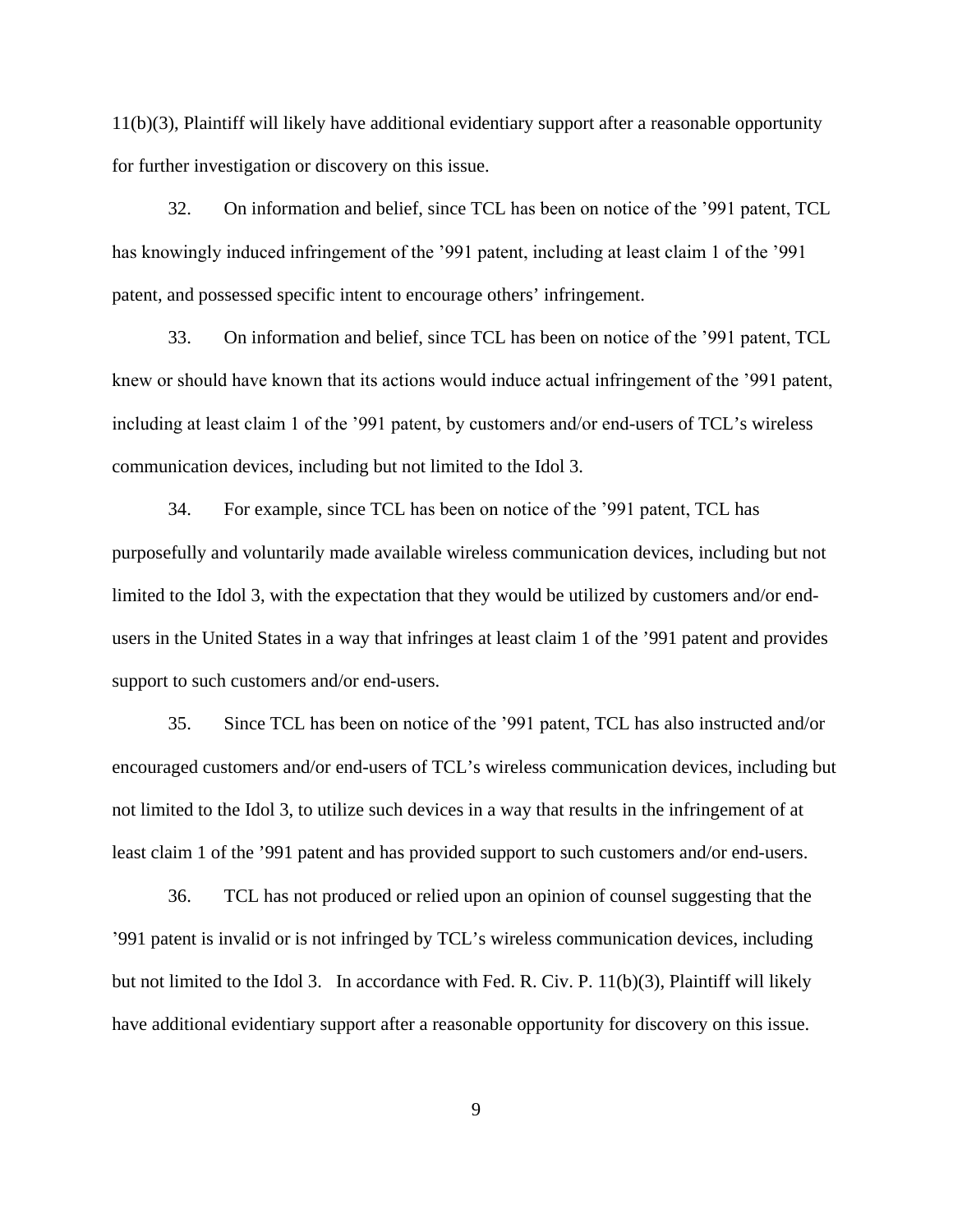11(b)(3), Plaintiff will likely have additional evidentiary support after a reasonable opportunity for further investigation or discovery on this issue.

32. On information and belief, since TCL has been on notice of the '991 patent, TCL has knowingly induced infringement of the '991 patent, including at least claim 1 of the '991 patent, and possessed specific intent to encourage others' infringement.

33. On information and belief, since TCL has been on notice of the '991 patent, TCL knew or should have known that its actions would induce actual infringement of the '991 patent, including at least claim 1 of the '991 patent, by customers and/or end-users of TCL's wireless communication devices, including but not limited to the Idol 3.

34. For example, since TCL has been on notice of the '991 patent, TCL has purposefully and voluntarily made available wireless communication devices, including but not limited to the Idol 3, with the expectation that they would be utilized by customers and/or endusers in the United States in a way that infringes at least claim 1 of the '991 patent and provides support to such customers and/or end-users.

35. Since TCL has been on notice of the '991 patent, TCL has also instructed and/or encouraged customers and/or end-users of TCL's wireless communication devices, including but not limited to the Idol 3, to utilize such devices in a way that results in the infringement of at least claim 1 of the '991 patent and has provided support to such customers and/or end-users.

36. TCL has not produced or relied upon an opinion of counsel suggesting that the '991 patent is invalid or is not infringed by TCL's wireless communication devices, including but not limited to the Idol 3. In accordance with Fed. R. Civ. P. 11(b)(3), Plaintiff will likely have additional evidentiary support after a reasonable opportunity for discovery on this issue.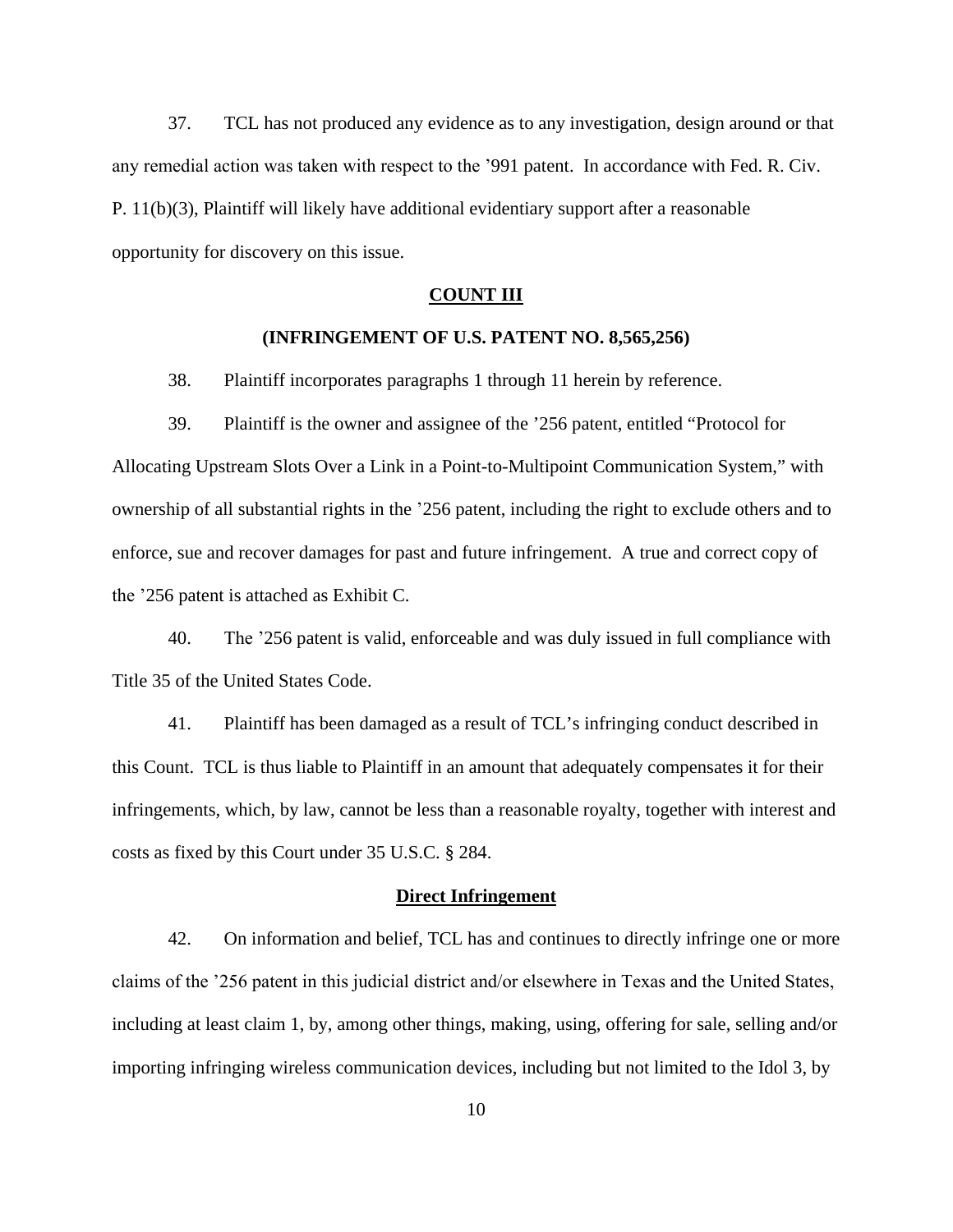37. TCL has not produced any evidence as to any investigation, design around or that any remedial action was taken with respect to the '991 patent. In accordance with Fed. R. Civ. P. 11(b)(3), Plaintiff will likely have additional evidentiary support after a reasonable opportunity for discovery on this issue.

#### **COUNT III**

### **(INFRINGEMENT OF U.S. PATENT NO. 8,565,256)**

38. Plaintiff incorporates paragraphs 1 through 11 herein by reference.

39. Plaintiff is the owner and assignee of the '256 patent, entitled "Protocol for Allocating Upstream Slots Over a Link in a Point-to-Multipoint Communication System," with ownership of all substantial rights in the '256 patent, including the right to exclude others and to enforce, sue and recover damages for past and future infringement. A true and correct copy of the '256 patent is attached as Exhibit C.

40. The '256 patent is valid, enforceable and was duly issued in full compliance with Title 35 of the United States Code.

41. Plaintiff has been damaged as a result of TCL's infringing conduct described in this Count. TCL is thus liable to Plaintiff in an amount that adequately compensates it for their infringements, which, by law, cannot be less than a reasonable royalty, together with interest and costs as fixed by this Court under 35 U.S.C. § 284.

#### **Direct Infringement**

42. On information and belief, TCL has and continues to directly infringe one or more claims of the '256 patent in this judicial district and/or elsewhere in Texas and the United States, including at least claim 1, by, among other things, making, using, offering for sale, selling and/or importing infringing wireless communication devices, including but not limited to the Idol 3, by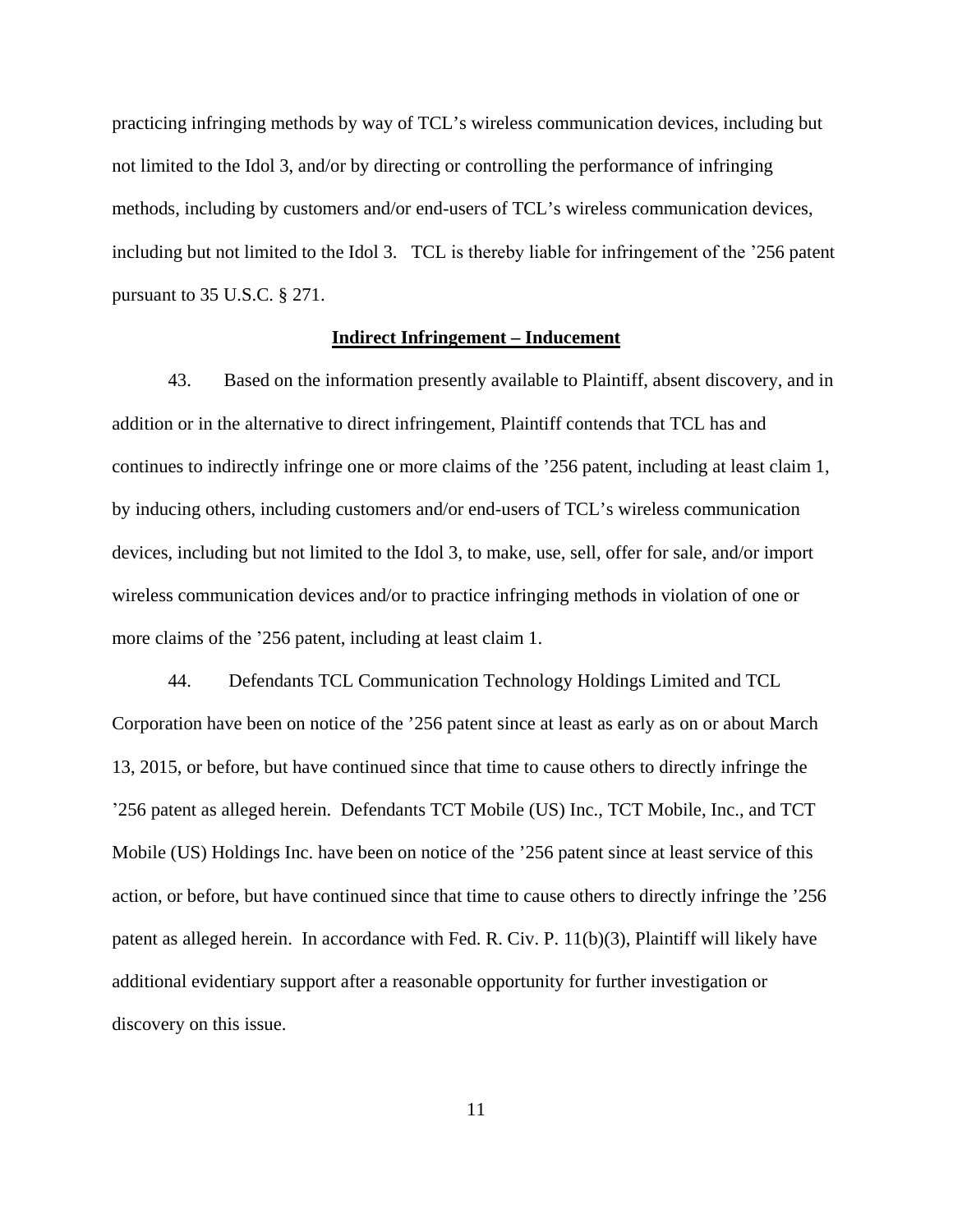practicing infringing methods by way of TCL's wireless communication devices, including but not limited to the Idol 3, and/or by directing or controlling the performance of infringing methods, including by customers and/or end-users of TCL's wireless communication devices, including but not limited to the Idol 3. TCL is thereby liable for infringement of the '256 patent pursuant to 35 U.S.C. § 271.

### **Indirect Infringement – Inducement**

43. Based on the information presently available to Plaintiff, absent discovery, and in addition or in the alternative to direct infringement, Plaintiff contends that TCL has and continues to indirectly infringe one or more claims of the '256 patent, including at least claim 1, by inducing others, including customers and/or end-users of TCL's wireless communication devices, including but not limited to the Idol 3, to make, use, sell, offer for sale, and/or import wireless communication devices and/or to practice infringing methods in violation of one or more claims of the '256 patent, including at least claim 1.

44. Defendants TCL Communication Technology Holdings Limited and TCL Corporation have been on notice of the '256 patent since at least as early as on or about March 13, 2015, or before, but have continued since that time to cause others to directly infringe the '256 patent as alleged herein. Defendants TCT Mobile (US) Inc., TCT Mobile, Inc., and TCT Mobile (US) Holdings Inc. have been on notice of the '256 patent since at least service of this action, or before, but have continued since that time to cause others to directly infringe the '256 patent as alleged herein. In accordance with Fed. R. Civ. P. 11(b)(3), Plaintiff will likely have additional evidentiary support after a reasonable opportunity for further investigation or discovery on this issue.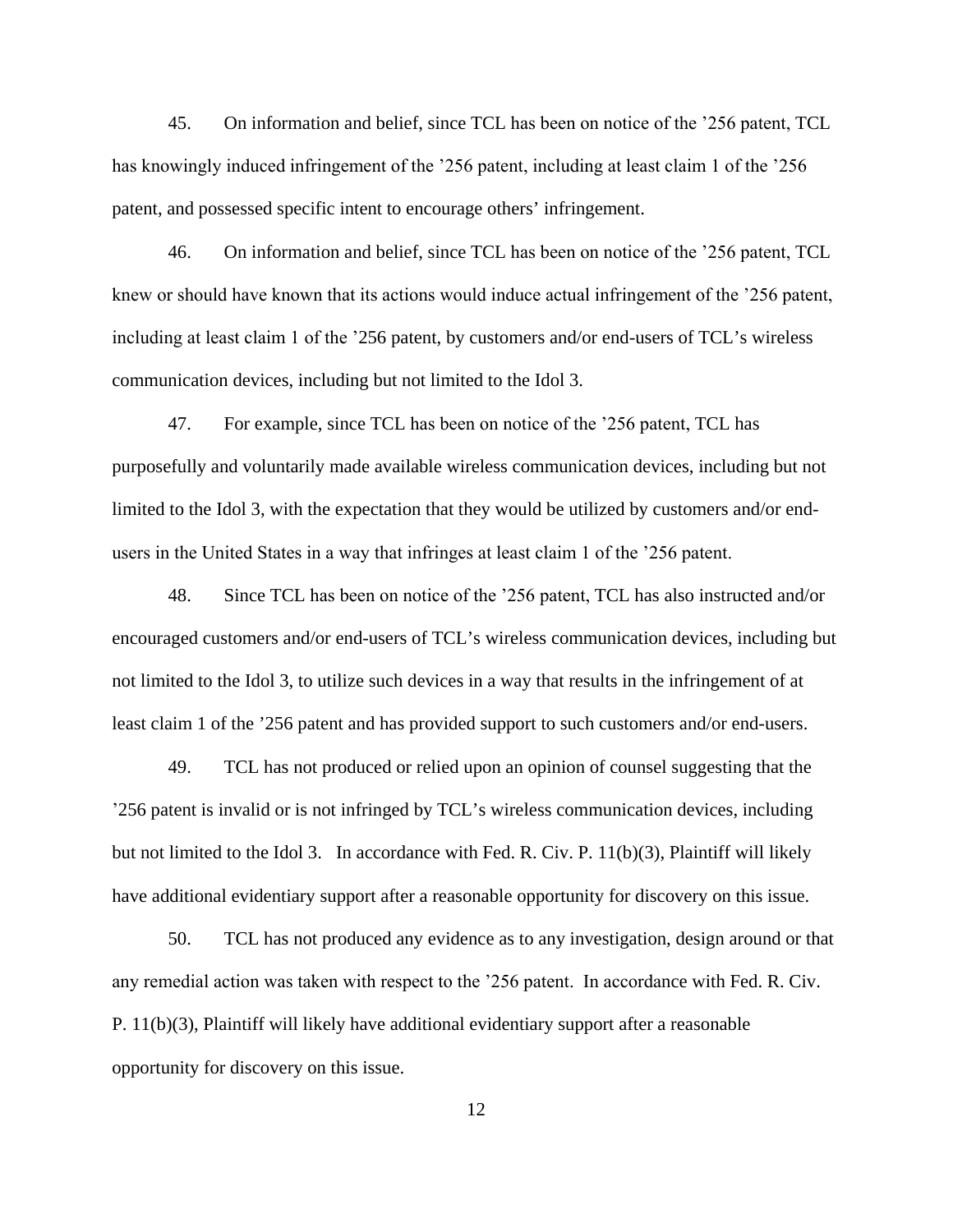45. On information and belief, since TCL has been on notice of the '256 patent, TCL has knowingly induced infringement of the '256 patent, including at least claim 1 of the '256 patent, and possessed specific intent to encourage others' infringement.

46. On information and belief, since TCL has been on notice of the '256 patent, TCL knew or should have known that its actions would induce actual infringement of the '256 patent, including at least claim 1 of the '256 patent, by customers and/or end-users of TCL's wireless communication devices, including but not limited to the Idol 3.

47. For example, since TCL has been on notice of the '256 patent, TCL has purposefully and voluntarily made available wireless communication devices, including but not limited to the Idol 3, with the expectation that they would be utilized by customers and/or endusers in the United States in a way that infringes at least claim 1 of the '256 patent.

48. Since TCL has been on notice of the '256 patent, TCL has also instructed and/or encouraged customers and/or end-users of TCL's wireless communication devices, including but not limited to the Idol 3, to utilize such devices in a way that results in the infringement of at least claim 1 of the '256 patent and has provided support to such customers and/or end-users.

49. TCL has not produced or relied upon an opinion of counsel suggesting that the '256 patent is invalid or is not infringed by TCL's wireless communication devices, including but not limited to the Idol 3. In accordance with Fed. R. Civ. P. 11(b)(3), Plaintiff will likely have additional evidentiary support after a reasonable opportunity for discovery on this issue.

50. TCL has not produced any evidence as to any investigation, design around or that any remedial action was taken with respect to the '256 patent. In accordance with Fed. R. Civ. P. 11(b)(3), Plaintiff will likely have additional evidentiary support after a reasonable opportunity for discovery on this issue.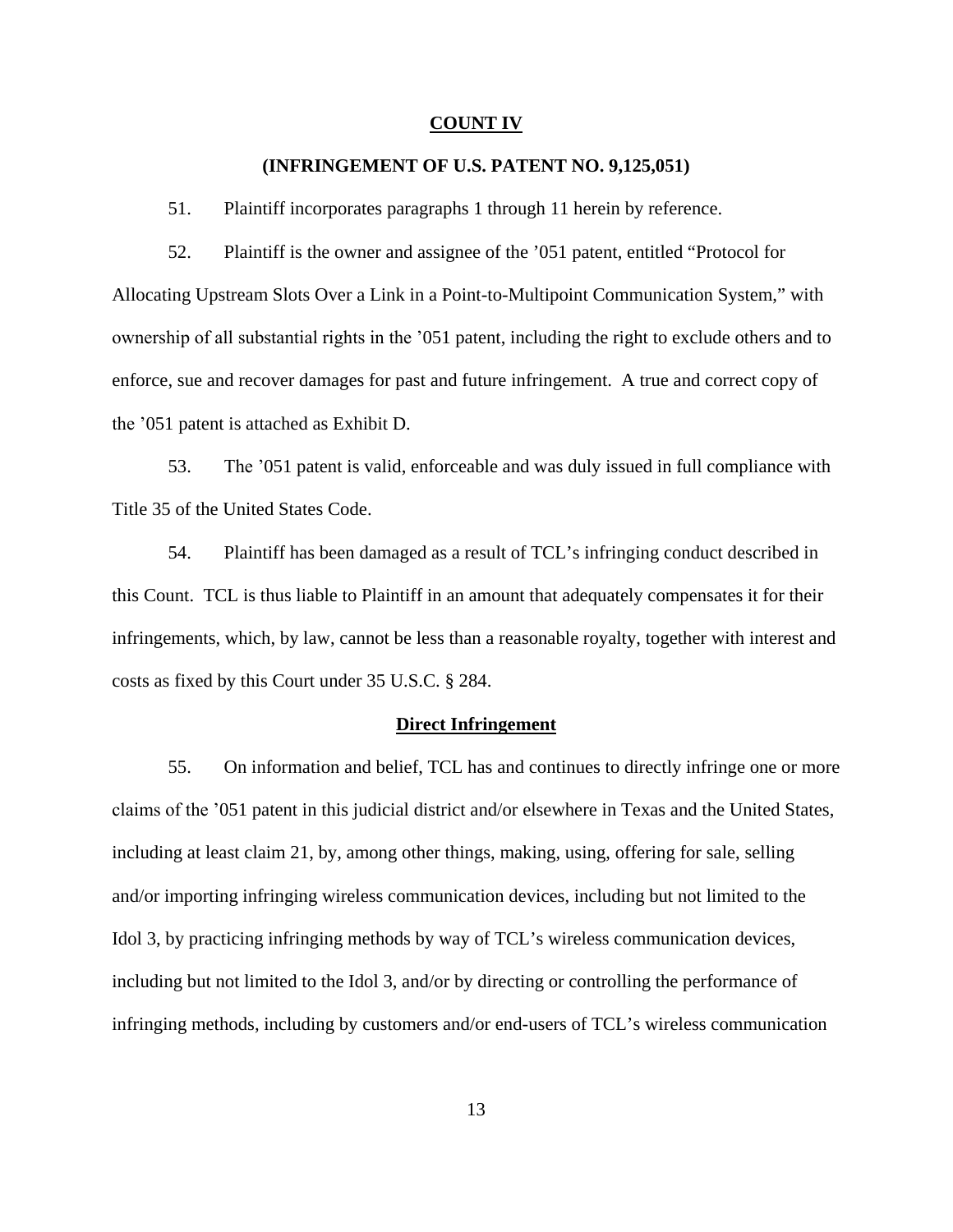#### **COUNT IV**

### **(INFRINGEMENT OF U.S. PATENT NO. 9,125,051)**

51. Plaintiff incorporates paragraphs 1 through 11 herein by reference.

52. Plaintiff is the owner and assignee of the '051 patent, entitled "Protocol for Allocating Upstream Slots Over a Link in a Point-to-Multipoint Communication System," with ownership of all substantial rights in the '051 patent, including the right to exclude others and to enforce, sue and recover damages for past and future infringement. A true and correct copy of the '051 patent is attached as Exhibit D.

53. The '051 patent is valid, enforceable and was duly issued in full compliance with Title 35 of the United States Code.

54. Plaintiff has been damaged as a result of TCL's infringing conduct described in this Count. TCL is thus liable to Plaintiff in an amount that adequately compensates it for their infringements, which, by law, cannot be less than a reasonable royalty, together with interest and costs as fixed by this Court under 35 U.S.C. § 284.

#### **Direct Infringement**

55. On information and belief, TCL has and continues to directly infringe one or more claims of the '051 patent in this judicial district and/or elsewhere in Texas and the United States, including at least claim 21, by, among other things, making, using, offering for sale, selling and/or importing infringing wireless communication devices, including but not limited to the Idol 3, by practicing infringing methods by way of TCL's wireless communication devices, including but not limited to the Idol 3, and/or by directing or controlling the performance of infringing methods, including by customers and/or end-users of TCL's wireless communication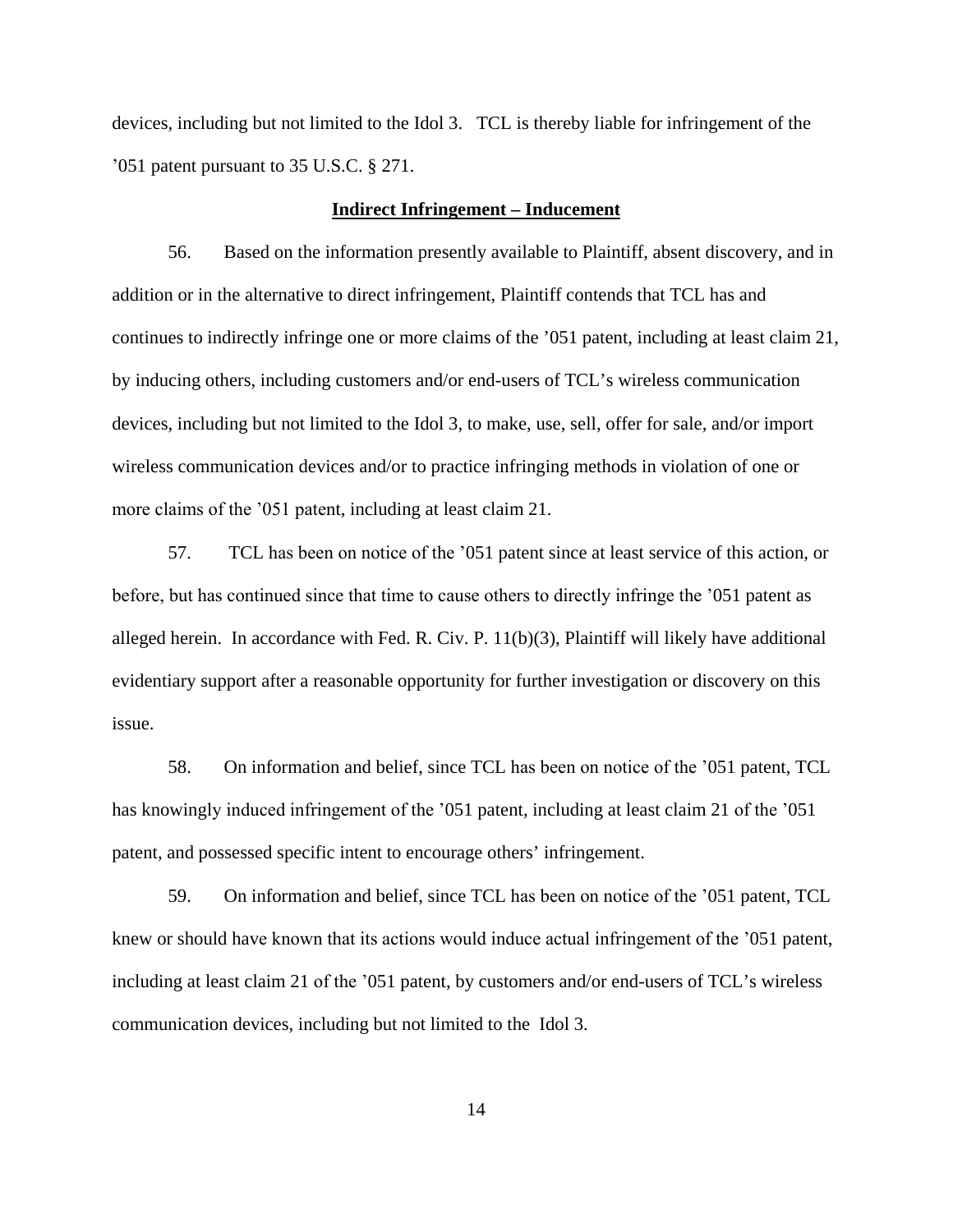devices, including but not limited to the Idol 3. TCL is thereby liable for infringement of the '051 patent pursuant to 35 U.S.C. § 271.

### **Indirect Infringement – Inducement**

56. Based on the information presently available to Plaintiff, absent discovery, and in addition or in the alternative to direct infringement, Plaintiff contends that TCL has and continues to indirectly infringe one or more claims of the '051 patent, including at least claim 21, by inducing others, including customers and/or end-users of TCL's wireless communication devices, including but not limited to the Idol 3, to make, use, sell, offer for sale, and/or import wireless communication devices and/or to practice infringing methods in violation of one or more claims of the '051 patent, including at least claim 21.

57. TCL has been on notice of the '051 patent since at least service of this action, or before, but has continued since that time to cause others to directly infringe the '051 patent as alleged herein. In accordance with Fed. R. Civ. P. 11(b)(3), Plaintiff will likely have additional evidentiary support after a reasonable opportunity for further investigation or discovery on this issue.

58. On information and belief, since TCL has been on notice of the '051 patent, TCL has knowingly induced infringement of the '051 patent, including at least claim 21 of the '051 patent, and possessed specific intent to encourage others' infringement.

59. On information and belief, since TCL has been on notice of the '051 patent, TCL knew or should have known that its actions would induce actual infringement of the '051 patent, including at least claim 21 of the '051 patent, by customers and/or end-users of TCL's wireless communication devices, including but not limited to the Idol 3.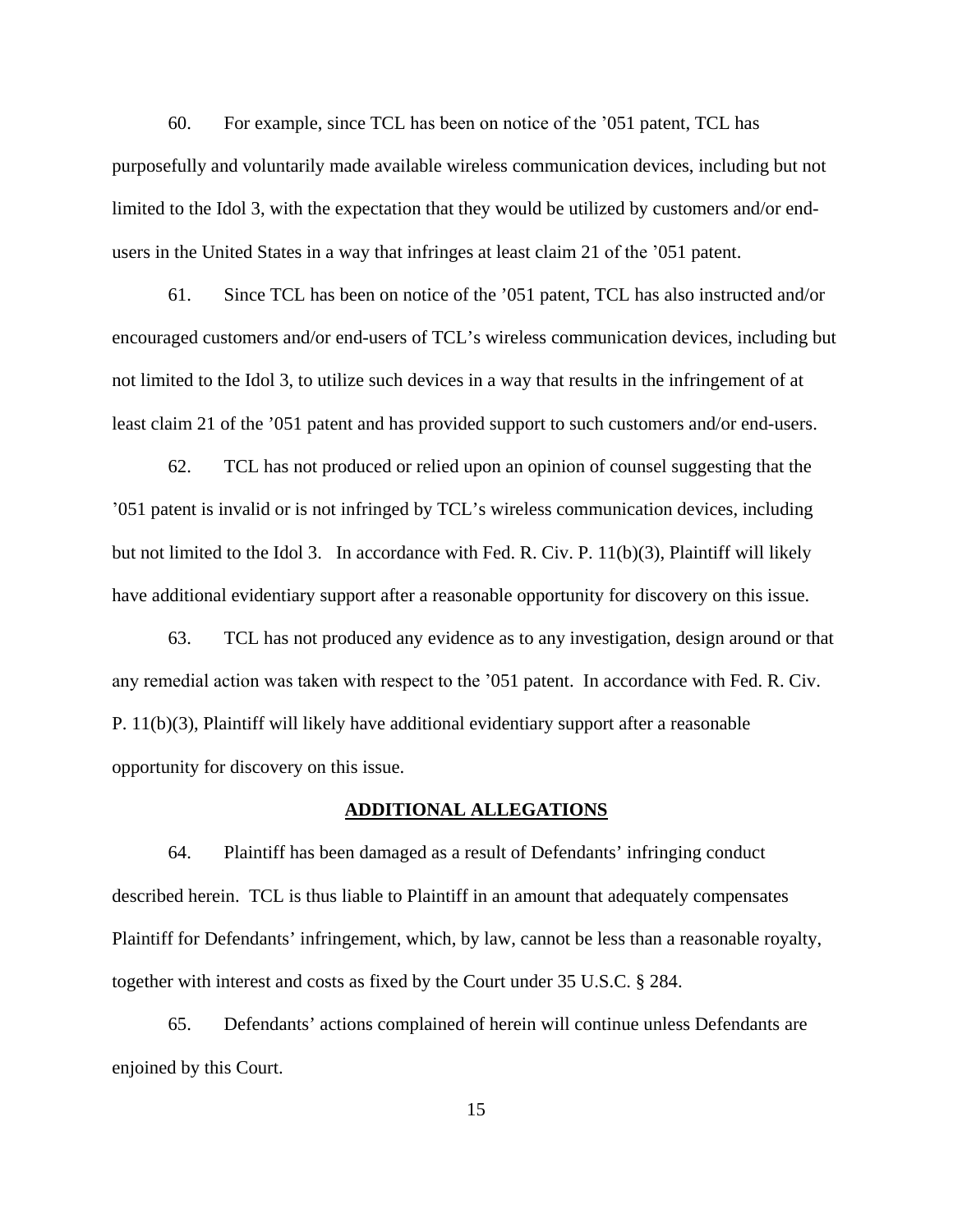60. For example, since TCL has been on notice of the '051 patent, TCL has purposefully and voluntarily made available wireless communication devices, including but not limited to the Idol 3, with the expectation that they would be utilized by customers and/or endusers in the United States in a way that infringes at least claim 21 of the '051 patent.

61. Since TCL has been on notice of the '051 patent, TCL has also instructed and/or encouraged customers and/or end-users of TCL's wireless communication devices, including but not limited to the Idol 3, to utilize such devices in a way that results in the infringement of at least claim 21 of the '051 patent and has provided support to such customers and/or end-users.

62. TCL has not produced or relied upon an opinion of counsel suggesting that the '051 patent is invalid or is not infringed by TCL's wireless communication devices, including but not limited to the Idol 3. In accordance with Fed. R. Civ. P. 11(b)(3), Plaintiff will likely have additional evidentiary support after a reasonable opportunity for discovery on this issue.

63. TCL has not produced any evidence as to any investigation, design around or that any remedial action was taken with respect to the '051 patent. In accordance with Fed. R. Civ. P. 11(b)(3), Plaintiff will likely have additional evidentiary support after a reasonable opportunity for discovery on this issue.

#### **ADDITIONAL ALLEGATIONS**

64. Plaintiff has been damaged as a result of Defendants' infringing conduct described herein. TCL is thus liable to Plaintiff in an amount that adequately compensates Plaintiff for Defendants' infringement, which, by law, cannot be less than a reasonable royalty, together with interest and costs as fixed by the Court under 35 U.S.C. § 284.

65. Defendants' actions complained of herein will continue unless Defendants are enjoined by this Court.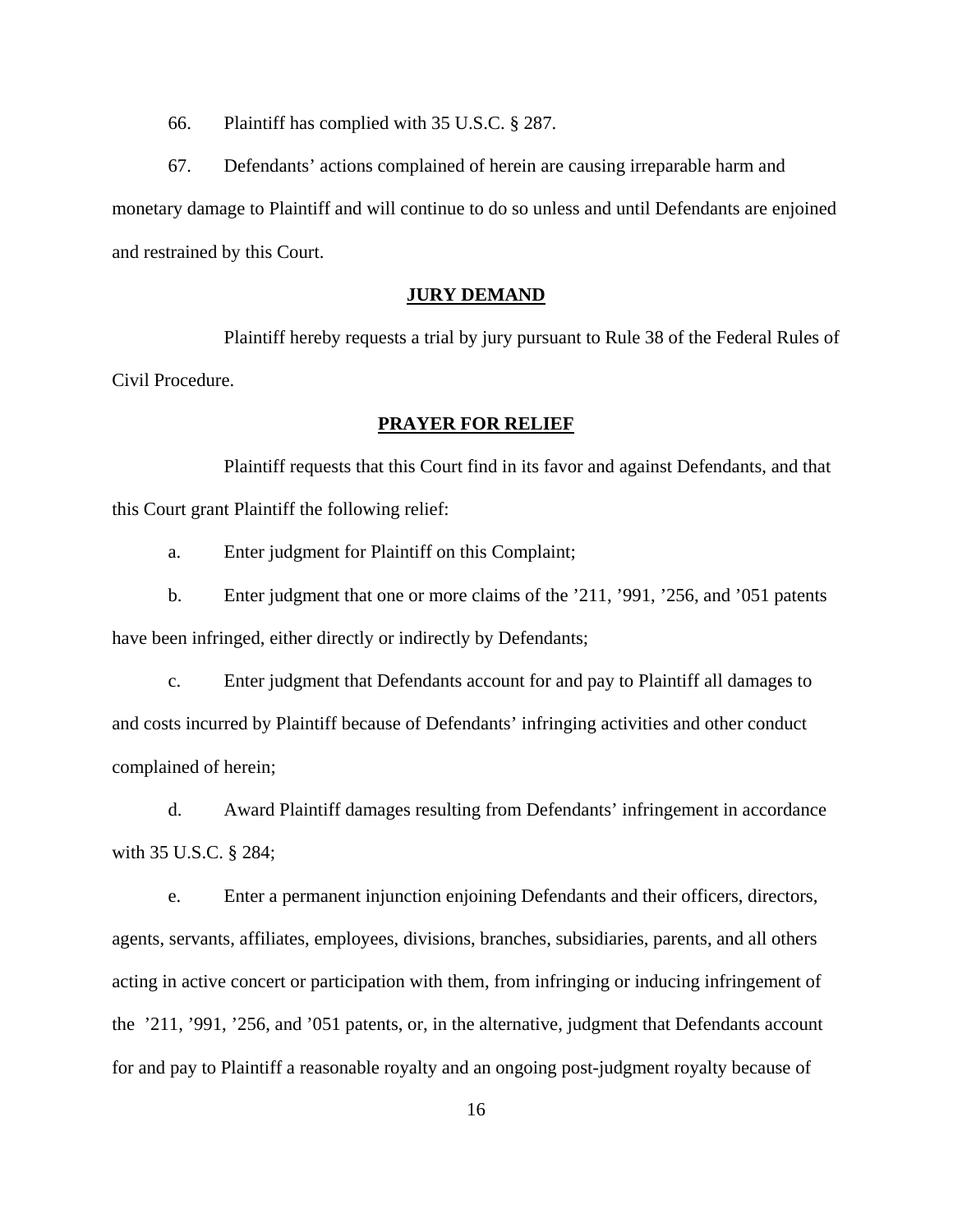66. Plaintiff has complied with 35 U.S.C. § 287.

67. Defendants' actions complained of herein are causing irreparable harm and monetary damage to Plaintiff and will continue to do so unless and until Defendants are enjoined and restrained by this Court.

# **JURY DEMAND**

Plaintiff hereby requests a trial by jury pursuant to Rule 38 of the Federal Rules of Civil Procedure.

## **PRAYER FOR RELIEF**

Plaintiff requests that this Court find in its favor and against Defendants, and that this Court grant Plaintiff the following relief:

a. Enter judgment for Plaintiff on this Complaint;

b. Enter judgment that one or more claims of the '211, '991, '256, and '051 patents have been infringed, either directly or indirectly by Defendants;

c. Enter judgment that Defendants account for and pay to Plaintiff all damages to and costs incurred by Plaintiff because of Defendants' infringing activities and other conduct complained of herein;

d. Award Plaintiff damages resulting from Defendants' infringement in accordance with 35 U.S.C. § 284;

e. Enter a permanent injunction enjoining Defendants and their officers, directors, agents, servants, affiliates, employees, divisions, branches, subsidiaries, parents, and all others acting in active concert or participation with them, from infringing or inducing infringement of the '211, '991, '256, and '051 patents, or, in the alternative, judgment that Defendants account for and pay to Plaintiff a reasonable royalty and an ongoing post-judgment royalty because of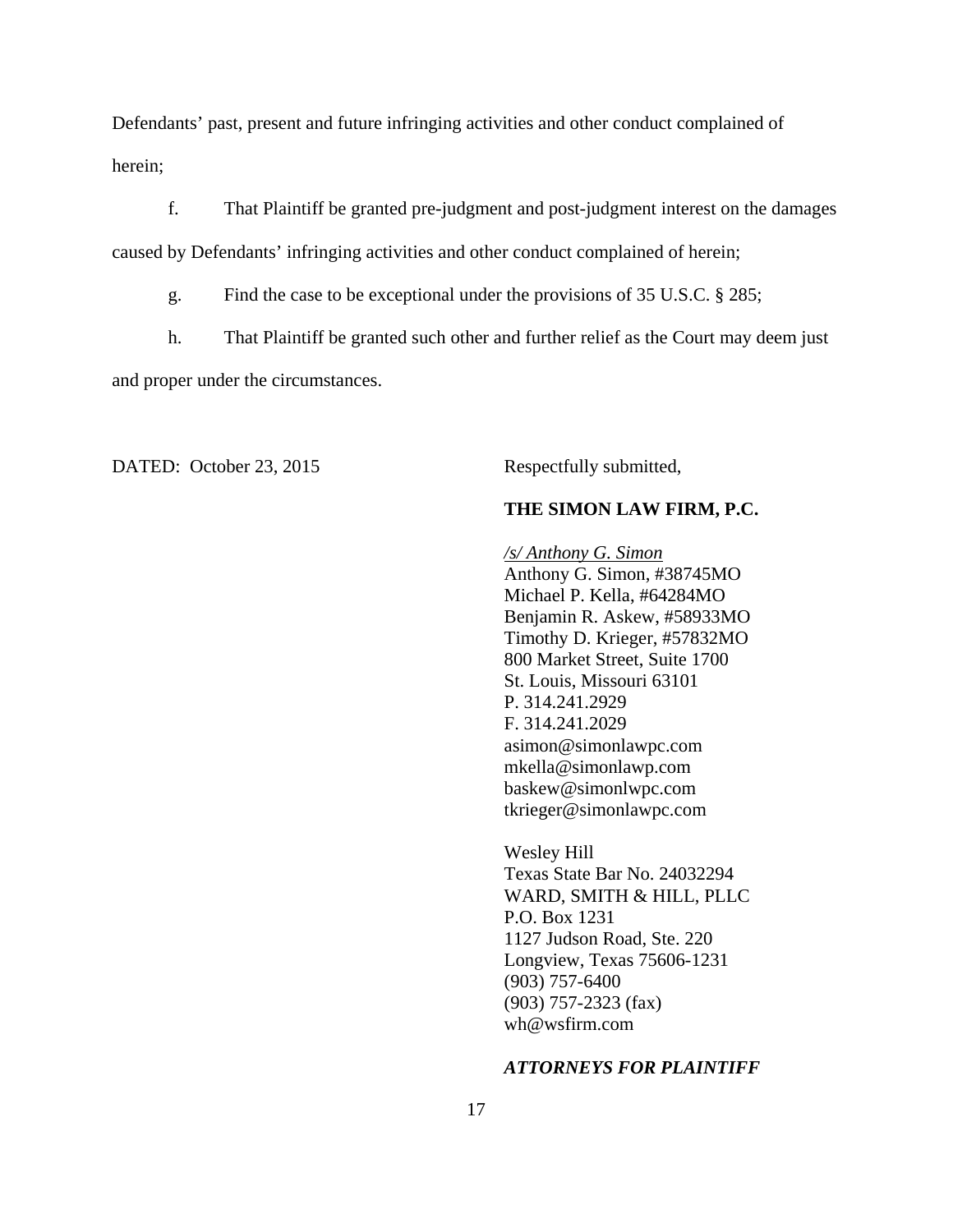Defendants' past, present and future infringing activities and other conduct complained of herein;

f. That Plaintiff be granted pre-judgment and post-judgment interest on the damages caused by Defendants' infringing activities and other conduct complained of herein;

g. Find the case to be exceptional under the provisions of 35 U.S.C. § 285;

h. That Plaintiff be granted such other and further relief as the Court may deem just and proper under the circumstances.

DATED: October 23, 2015 Respectfully submitted,

## **THE SIMON LAW FIRM, P.C.**

*/s/ Anthony G. Simon*  Anthony G. Simon, #38745MO Michael P. Kella, #64284MO Benjamin R. Askew, #58933MO Timothy D. Krieger, #57832MO 800 Market Street, Suite 1700 St. Louis, Missouri 63101 P. 314.241.2929 F. 314.241.2029 asimon@simonlawpc.com mkella@simonlawp.com baskew@simonlwpc.com tkrieger@simonlawpc.com

Wesley Hill Texas State Bar No. 24032294 WARD, SMITH & HILL, PLLC P.O. Box 1231 1127 Judson Road, Ste. 220 Longview, Texas 75606-1231 (903) 757-6400 (903) 757-2323 (fax) wh@wsfirm.com

#### *ATTORNEYS FOR PLAINTIFF*